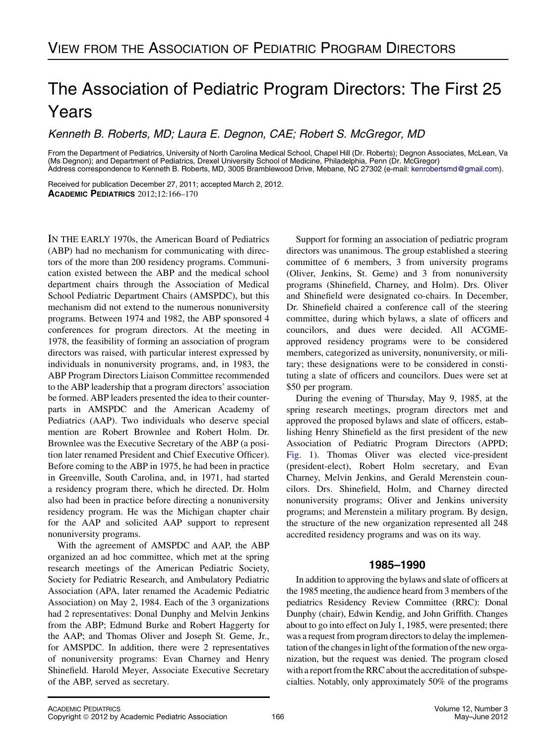# The Association of Pediatric Program Directors: The First 25 Years

Kenneth B. Roberts, MD; Laura E. Degnon, CAE; Robert S. McGregor, MD

From the Department of Pediatrics, University of North Carolina Medical School, Chapel Hill (Dr. Roberts); Degnon Associates, McLean, Va (Ms Degnon); and Department of Pediatrics, Drexel University School of Medicine, Philadelphia, Penn (Dr. McGregor) Address correspondence to Kenneth B. Roberts, MD, 3005 Bramblewood Drive, Mebane, NC 27302 (e-mail: [kenrobertsmd@gmail.com](mailto:kenrobertsmd@gmail.com)).

Received for publication December 27, 2011; accepted March 2, 2012. ACADEMIC PEDIATRICS 2012;12:166–170

IN THE EARLY 1970s, the American Board of Pediatrics (ABP) had no mechanism for communicating with directors of the more than 200 residency programs. Communication existed between the ABP and the medical school department chairs through the Association of Medical School Pediatric Department Chairs (AMSPDC), but this mechanism did not extend to the numerous nonuniversity programs. Between 1974 and 1982, the ABP sponsored 4 conferences for program directors. At the meeting in 1978, the feasibility of forming an association of program directors was raised, with particular interest expressed by individuals in nonuniversity programs, and, in 1983, the ABP Program Directors Liaison Committee recommended to the ABP leadership that a program directors' association be formed. ABP leaders presented the idea to their counterparts in AMSPDC and the American Academy of Pediatrics (AAP). Two individuals who deserve special mention are Robert Brownlee and Robert Holm. Dr. Brownlee was the Executive Secretary of the ABP (a position later renamed President and Chief Executive Officer). Before coming to the ABP in 1975, he had been in practice in Greenville, South Carolina, and, in 1971, had started a residency program there, which he directed. Dr. Holm also had been in practice before directing a nonuniversity residency program. He was the Michigan chapter chair for the AAP and solicited AAP support to represent nonuniversity programs.

With the agreement of AMSPDC and AAP, the ABP organized an ad hoc committee, which met at the spring research meetings of the American Pediatric Society, Society for Pediatric Research, and Ambulatory Pediatric Association (APA, later renamed the Academic Pediatric Association) on May 2, 1984. Each of the 3 organizations had 2 representatives: Donal Dunphy and Melvin Jenkins from the ABP; Edmund Burke and Robert Haggerty for the AAP; and Thomas Oliver and Joseph St. Geme, Jr., for AMSPDC. In addition, there were 2 representatives of nonuniversity programs: Evan Charney and Henry Shinefield. Harold Meyer, Associate Executive Secretary of the ABP, served as secretary.

Support for forming an association of pediatric program directors was unanimous. The group established a steering committee of 6 members, 3 from university programs (Oliver, Jenkins, St. Geme) and 3 from nonuniversity programs (Shinefield, Charney, and Holm). Drs. Oliver and Shinefield were designated co-chairs. In December, Dr. Shinefield chaired a conference call of the steering committee, during which bylaws, a slate of officers and councilors, and dues were decided. All ACGMEapproved residency programs were to be considered members, categorized as university, nonuniversity, or military; these designations were to be considered in constituting a slate of officers and councilors. Dues were set at \$50 per program.

During the evening of Thursday, May 9, 1985, at the spring research meetings, program directors met and approved the proposed bylaws and slate of officers, establishing Henry Shinefield as the first president of the new Association of Pediatric Program Directors (APPD; [Fig. 1](#page-1-0)). Thomas Oliver was elected vice-president (president-elect), Robert Holm secretary, and Evan Charney, Melvin Jenkins, and Gerald Merenstein councilors. Drs. Shinefield, Holm, and Charney directed nonuniversity programs; Oliver and Jenkins university programs; and Merenstein a military program. By design, the structure of the new organization represented all 248 accredited residency programs and was on its way.

## 1985-1990

In addition to approving the bylaws and slate of officers at the 1985 meeting, the audience heard from 3 members of the pediatrics Residency Review Committee (RRC): Donal Dunphy (chair), Edwin Kendig, and John Griffith. Changes about to go into effect on July 1, 1985, were presented; there was a request from program directors to delay the implementation of the changes in light of the formation of the new organization, but the request was denied. The program closed with a report from the RRC about the accreditation of subspecialties. Notably, only approximately 50% of the programs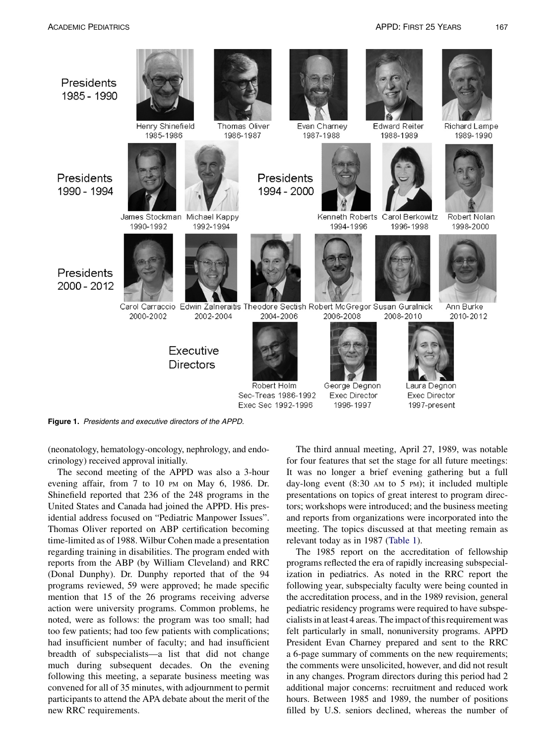<span id="page-1-0"></span>

Figure 1. Presidents and executive directors of the APPD.

(neonatology, hematology-oncology, nephrology, and endocrinology) received approval initially.

The second meeting of the APPD was also a 3-hour evening affair, from 7 to 10 PM on May 6, 1986. Dr. Shinefield reported that 236 of the 248 programs in the United States and Canada had joined the APPD. His presidential address focused on "Pediatric Manpower Issues". Thomas Oliver reported on ABP certification becoming time-limited as of 1988. Wilbur Cohen made a presentation regarding training in disabilities. The program ended with reports from the ABP (by William Cleveland) and RRC (Donal Dunphy). Dr. Dunphy reported that of the 94 programs reviewed, 59 were approved; he made specific mention that 15 of the 26 programs receiving adverse action were university programs. Common problems, he noted, were as follows: the program was too small; had too few patients; had too few patients with complications; had insufficient number of faculty; and had insufficient breadth of subspecialists—a list that did not change much during subsequent decades. On the evening following this meeting, a separate business meeting was convened for all of 35 minutes, with adjournment to permit participants to attend the APA debate about the merit of the new RRC requirements.

The third annual meeting, April 27, 1989, was notable for four features that set the stage for all future meetings: It was no longer a brief evening gathering but a full day-long event (8:30 AM to 5 PM); it included multiple presentations on topics of great interest to program directors; workshops were introduced; and the business meeting and reports from organizations were incorporated into the meeting. The topics discussed at that meeting remain as relevant today as in 1987 [\(Table 1\)](#page-2-0).

The 1985 report on the accreditation of fellowship programs reflected the era of rapidly increasing subspecialization in pediatrics. As noted in the RRC report the following year, subspecialty faculty were being counted in the accreditation process, and in the 1989 revision, general pediatric residency programs were required to have subspecialists in at least 4 areas. The impact of this requirement was felt particularly in small, nonuniversity programs. APPD President Evan Charney prepared and sent to the RRC a 6-page summary of comments on the new requirements; the comments were unsolicited, however, and did not result in any changes. Program directors during this period had 2 additional major concerns: recruitment and reduced work hours. Between 1985 and 1989, the number of positions filled by U.S. seniors declined, whereas the number of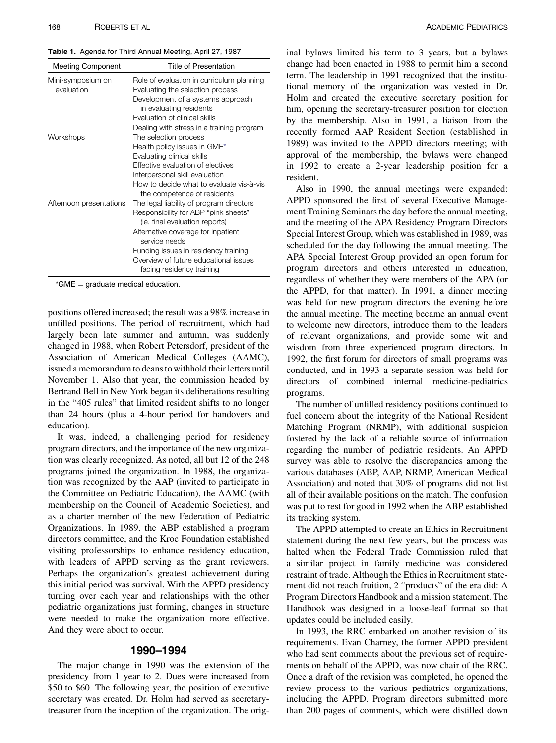<span id="page-2-0"></span>

| <b>Meeting Component</b>        | <b>Title of Presentation</b>                                                  |
|---------------------------------|-------------------------------------------------------------------------------|
| Mini-symposium on<br>evaluation | Role of evaluation in curriculum planning<br>Evaluating the selection process |
|                                 | Development of a systems approach<br>in evaluating residents                  |
|                                 | Evaluation of clinical skills                                                 |
|                                 | Dealing with stress in a training program                                     |
| Workshops                       | The selection process                                                         |
|                                 | Health policy issues in GME*                                                  |
|                                 | Evaluating clinical skills                                                    |
|                                 | Effective evaluation of electives                                             |
|                                 | Interpersonal skill evaluation                                                |
|                                 | How to decide what to evaluate vis-à-vis<br>the competence of residents       |
| Afternoon presentations         | The legal liability of program directors                                      |
|                                 | Responsibility for ABP "pink sheets"                                          |
|                                 | (ie, final evaluation reports)                                                |
|                                 | Alternative coverage for inpatient<br>service needs                           |
|                                 | Funding issues in residency training                                          |
|                                 | Overview of future educational issues                                         |
|                                 | facing residency training                                                     |

 $*GME =$  graduate medical education.

positions offered increased; the result was a 98% increase in unfilled positions. The period of recruitment, which had largely been late summer and autumn, was suddenly changed in 1988, when Robert Petersdorf, president of the Association of American Medical Colleges (AAMC), issued a memorandum to deans to withhold their letters until November 1. Also that year, the commission headed by Bertrand Bell in New York began its deliberations resulting in the "405 rules" that limited resident shifts to no longer than 24 hours (plus a 4-hour period for handovers and education).

It was, indeed, a challenging period for residency program directors, and the importance of the new organization was clearly recognized. As noted, all but 12 of the 248 programs joined the organization. In 1988, the organization was recognized by the AAP (invited to participate in the Committee on Pediatric Education), the AAMC (with membership on the Council of Academic Societies), and as a charter member of the new Federation of Pediatric Organizations. In 1989, the ABP established a program directors committee, and the Kroc Foundation established visiting professorships to enhance residency education, with leaders of APPD serving as the grant reviewers. Perhaps the organization's greatest achievement during this initial period was survival. With the APPD presidency turning over each year and relationships with the other pediatric organizations just forming, changes in structure were needed to make the organization more effective. And they were about to occur.

The major change in 1990 was the extension of the presidency from 1 year to 2. Dues were increased from \$50 to \$60. The following year, the position of executive secretary was created. Dr. Holm had served as secretarytreasurer from the inception of the organization. The orig-

inal bylaws limited his term to 3 years, but a bylaws change had been enacted in 1988 to permit him a second term. The leadership in 1991 recognized that the institutional memory of the organization was vested in Dr. Holm and created the executive secretary position for him, opening the secretary-treasurer position for election by the membership. Also in 1991, a liaison from the recently formed AAP Resident Section (established in 1989) was invited to the APPD directors meeting; with approval of the membership, the bylaws were changed in 1992 to create a 2-year leadership position for a resident.

Also in 1990, the annual meetings were expanded: APPD sponsored the first of several Executive Management Training Seminars the day before the annual meeting, and the meeting of the APA Residency Program Directors Special Interest Group, which was established in 1989, was scheduled for the day following the annual meeting. The APA Special Interest Group provided an open forum for program directors and others interested in education, regardless of whether they were members of the APA (or the APPD, for that matter). In 1991, a dinner meeting was held for new program directors the evening before the annual meeting. The meeting became an annual event to welcome new directors, introduce them to the leaders of relevant organizations, and provide some wit and wisdom from three experienced program directors. In 1992, the first forum for directors of small programs was conducted, and in 1993 a separate session was held for directors of combined internal medicine-pediatrics programs.

The number of unfilled residency positions continued to fuel concern about the integrity of the National Resident Matching Program (NRMP), with additional suspicion fostered by the lack of a reliable source of information regarding the number of pediatric residents. An APPD survey was able to resolve the discrepancies among the various databases (ABP, AAP, NRMP, American Medical Association) and noted that 30% of programs did not list all of their available positions on the match. The confusion was put to rest for good in 1992 when the ABP established its tracking system.

The APPD attempted to create an Ethics in Recruitment statement during the next few years, but the process was halted when the Federal Trade Commission ruled that a similar project in family medicine was considered restraint of trade. Although the Ethics in Recruitment statement did not reach fruition, 2 "products" of the era did: A Program Directors Handbook and a mission statement. The Handbook was designed in a loose-leaf format so that updates could be included easily.

In 1993, the RRC embarked on another revision of its requirements. Evan Charney, the former APPD president who had sent comments about the previous set of requirements on behalf of the APPD, was now chair of the RRC. Once a draft of the revision was completed, he opened the review process to the various pediatrics organizations, including the APPD. Program directors submitted more than 200 pages of comments, which were distilled down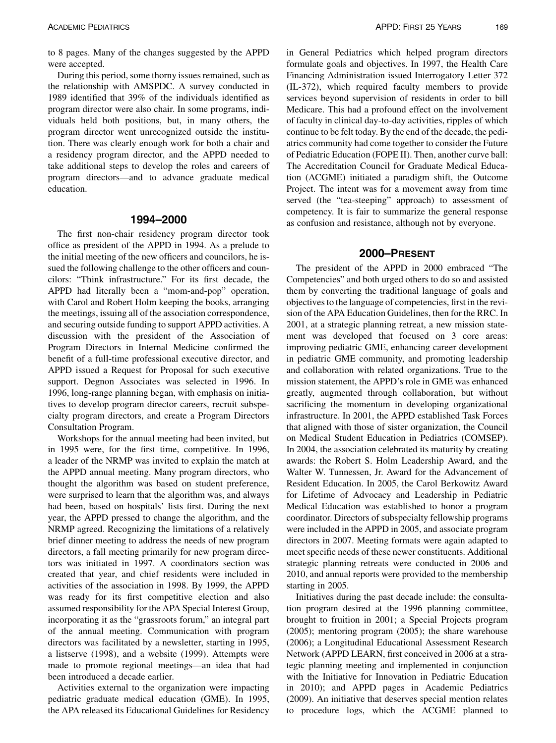to 8 pages. Many of the changes suggested by the APPD were accepted.

During this period, some thorny issues remained, such as the relationship with AMSPDC. A survey conducted in 1989 identified that 39% of the individuals identified as program director were also chair. In some programs, individuals held both positions, but, in many others, the program director went unrecognized outside the institution. There was clearly enough work for both a chair and a residency program director, and the APPD needed to take additional steps to develop the roles and careers of program directors—and to advance graduate medical education.

The first non-chair residency program director took office as president of the APPD in 1994. As a prelude to the initial meeting of the new officers and councilors, he issued the following challenge to the other officers and councilors: "Think infrastructure." For its first decade, the APPD had literally been a "mom-and-pop" operation, with Carol and Robert Holm keeping the books, arranging the meetings, issuing all of the association correspondence, and securing outside funding to support APPD activities. A discussion with the president of the Association of Program Directors in Internal Medicine confirmed the benefit of a full-time professional executive director, and APPD issued a Request for Proposal for such executive support. Degnon Associates was selected in 1996. In 1996, long-range planning began, with emphasis on initiatives to develop program director careers, recruit subspecialty program directors, and create a Program Directors Consultation Program.

Workshops for the annual meeting had been invited, but in 1995 were, for the first time, competitive. In 1996, a leader of the NRMP was invited to explain the match at the APPD annual meeting. Many program directors, who thought the algorithm was based on student preference, were surprised to learn that the algorithm was, and always had been, based on hospitals' lists first. During the next year, the APPD pressed to change the algorithm, and the NRMP agreed. Recognizing the limitations of a relatively brief dinner meeting to address the needs of new program directors, a fall meeting primarily for new program directors was initiated in 1997. A coordinators section was created that year, and chief residents were included in activities of the association in 1998. By 1999, the APPD was ready for its first competitive election and also assumed responsibility for the APA Special Interest Group, incorporating it as the "grassroots forum," an integral part of the annual meeting. Communication with program directors was facilitated by a newsletter, starting in 1995, a listserve (1998), and a website (1999). Attempts were made to promote regional meetings—an idea that had been introduced a decade earlier.

Activities external to the organization were impacting pediatric graduate medical education (GME). In 1995, the APA released its Educational Guidelines for Residency

in General Pediatrics which helped program directors formulate goals and objectives. In 1997, the Health Care Financing Administration issued Interrogatory Letter 372 (IL-372), which required faculty members to provide services beyond supervision of residents in order to bill Medicare. This had a profound effect on the involvement of faculty in clinical day-to-day activities, ripples of which continue to be felt today. By the end of the decade, the pediatrics community had come together to consider the Future of Pediatric Education (FOPE II). Then, another curve ball: The Accreditation Council for Graduate Medical Education (ACGME) initiated a paradigm shift, the Outcome Project. The intent was for a movement away from time served (the "tea-steeping" approach) to assessment of competency. It is fair to summarize the general response as confusion and resistance, although not by everyone.

The president of the APPD in 2000 embraced "The Competencies" and both urged others to do so and assisted them by converting the traditional language of goals and objectives to the language of competencies, first in the revision of the APA Education Guidelines, then for the RRC. In 2001, at a strategic planning retreat, a new mission statement was developed that focused on 3 core areas: improving pediatric GME, enhancing career development in pediatric GME community, and promoting leadership and collaboration with related organizations. True to the mission statement, the APPD's role in GME was enhanced greatly, augmented through collaboration, but without sacrificing the momentum in developing organizational infrastructure. In 2001, the APPD established Task Forces that aligned with those of sister organization, the Council on Medical Student Education in Pediatrics (COMSEP). In 2004, the association celebrated its maturity by creating awards: the Robert S. Holm Leadership Award, and the Walter W. Tunnessen, Jr. Award for the Advancement of Resident Education. In 2005, the Carol Berkowitz Award for Lifetime of Advocacy and Leadership in Pediatric Medical Education was established to honor a program coordinator. Directors of subspecialty fellowship programs were included in the APPD in 2005, and associate program directors in 2007. Meeting formats were again adapted to meet specific needs of these newer constituents. Additional strategic planning retreats were conducted in 2006 and 2010, and annual reports were provided to the membership starting in 2005.

Initiatives during the past decade include: the consultation program desired at the 1996 planning committee, brought to fruition in 2001; a Special Projects program (2005); mentoring program (2005); the share warehouse (2006); a Longitudinal Educational Assessment Research Network (APPD LEARN, first conceived in 2006 at a strategic planning meeting and implemented in conjunction with the Initiative for Innovation in Pediatric Education in 2010); and APPD pages in Academic Pediatrics (2009). An initiative that deserves special mention relates to procedure logs, which the ACGME planned to